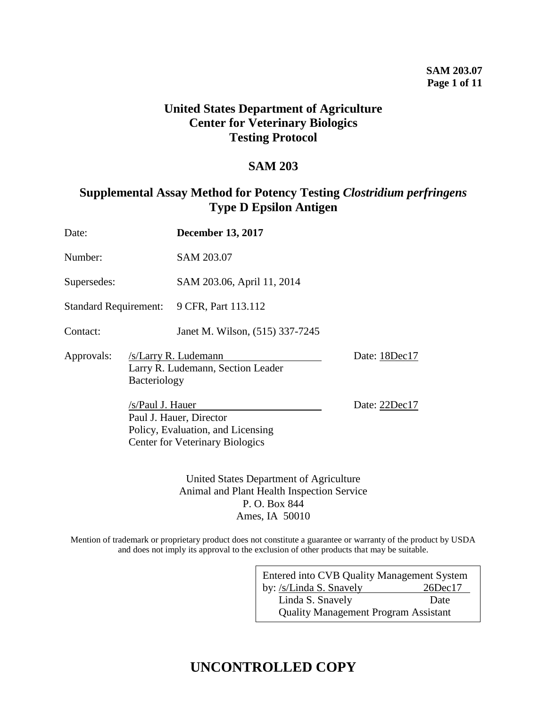## **United States Department of Agriculture Center for Veterinary Biologics Testing Protocol**

## **SAM 203**

## **Supplemental Assay Method for Potency Testing** *Clostridium perfringens* **Type D Epsilon Antigen**

| Date:                        |                                  | <b>December 13, 2017</b>                                                             |                                |
|------------------------------|----------------------------------|--------------------------------------------------------------------------------------|--------------------------------|
| Number:                      |                                  | SAM 203.07                                                                           |                                |
| Supersedes:                  |                                  | SAM 203.06, April 11, 2014                                                           |                                |
| <b>Standard Requirement:</b> |                                  | 9 CFR, Part 113.112                                                                  |                                |
| Contact:                     |                                  | Janet M. Wilson, (515) 337-7245                                                      |                                |
| Approvals:                   | Bacteriology<br>/s/Paul J. Hauer | /s/Larry R. Ludemann<br>Larry R. Ludemann, Section Leader<br>Paul J. Hauer, Director | Date: 18Dec17<br>Date: 22Dec17 |
|                              |                                  | Policy, Evaluation, and Licensing<br><b>Center for Veterinary Biologics</b>          |                                |

United States Department of Agriculture Animal and Plant Health Inspection Service P. O. Box 844 Ames, IA 50010

Mention of trademark or proprietary product does not constitute a guarantee or warranty of the product by USDA and does not imply its approval to the exclusion of other products that may be suitable.

| Entered into CVB Quality Management System  |               |  |  |
|---------------------------------------------|---------------|--|--|
| by: /s/Linda S. Snavely                     | $26$ Dec $17$ |  |  |
| Linda S. Snavely                            | Date          |  |  |
| <b>Quality Management Program Assistant</b> |               |  |  |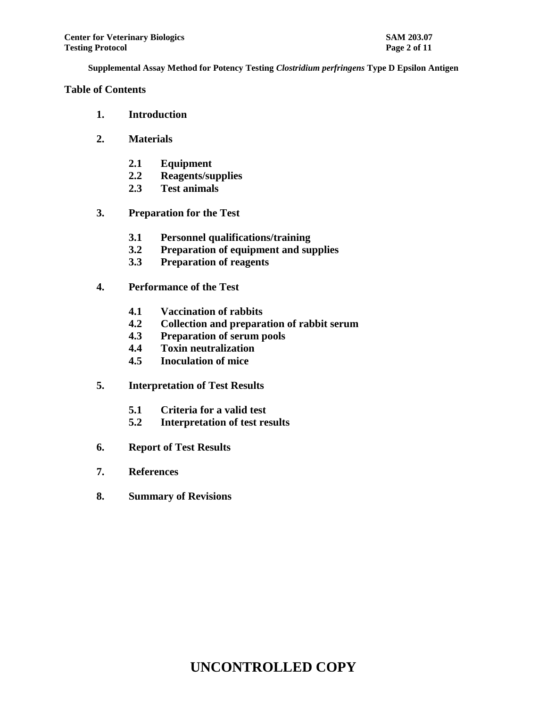### **Table of Contents**

- **1. Introduction**
- **2. Materials**
	- **2.1 Equipment**
	- **2.2 Reagents/supplies**
	- **2.3 Test animals**
- **3. Preparation for the Test**
	- **3.1 Personnel qualifications/training**
	- **3.2 Preparation of equipment and supplies**
	- **3.3 Preparation of reagents**
- **4. Performance of the Test**
	- **4.1 Vaccination of rabbits**
	- **4.2 Collection and preparation of rabbit serum**
	- **4.3 Preparation of serum pools**
	- **4.4 Toxin neutralization**
	- **4.5 Inoculation of mice**
- **5. Interpretation of Test Results**
	- **5.1 Criteria for a valid test**
	- **5.2 Interpretation of test results**
- **6. Report of Test Results**
- **7. References**
- **8. Summary of Revisions**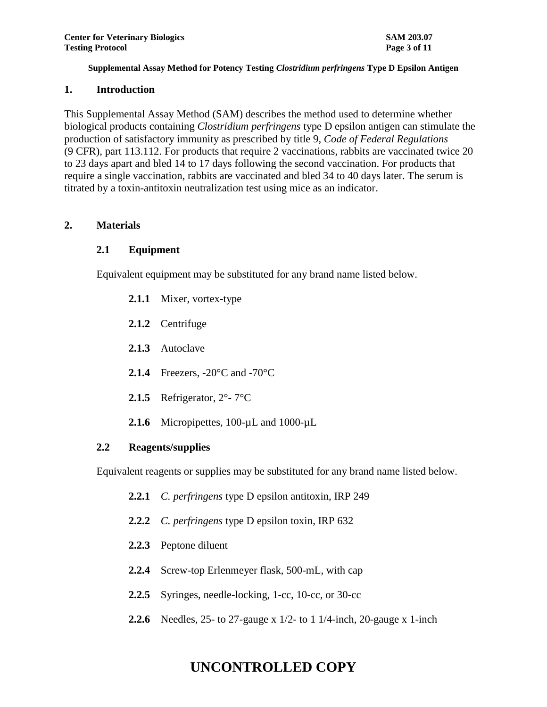#### **1. Introduction**

This Supplemental Assay Method (SAM) describes the method used to determine whether biological products containing *Clostridium perfringens* type D epsilon antigen can stimulate the production of satisfactory immunity as prescribed by title 9, *Code of Federal Regulations* (9 CFR), part 113.112. For products that require 2 vaccinations, rabbits are vaccinated twice 20 to 23 days apart and bled 14 to 17 days following the second vaccination. For products that require a single vaccination, rabbits are vaccinated and bled 34 to 40 days later. The serum is titrated by a toxin-antitoxin neutralization test using mice as an indicator.

## **2. Materials**

## **2.1 Equipment**

Equivalent equipment may be substituted for any brand name listed below.

- **2.1.1** Mixer, vortex-type
- **2.1.2** Centrifuge
- **2.1.3** Autoclave
- **2.1.4** Freezers, -20°C and -70°C
- **2.1.5** Refrigerator, 2°- 7°C
- **2.1.6** Micropipettes, 100-µL and 1000-µL

### **2.2 Reagents/supplies**

Equivalent reagents or supplies may be substituted for any brand name listed below.

- **2.2.1** *C. perfringens* type D epsilon antitoxin, IRP 249
- **2.2.2** *C. perfringens* type D epsilon toxin, IRP 632
- **2.2.3** Peptone diluent
- **2.2.4** Screw-top Erlenmeyer flask, 500-mL, with cap
- **2.2.5** Syringes, needle-locking, 1-cc, 10-cc, or 30-cc
- **2.2.6** Needles, 25- to 27-gauge x 1/2- to 1 1/4-inch, 20-gauge x 1-inch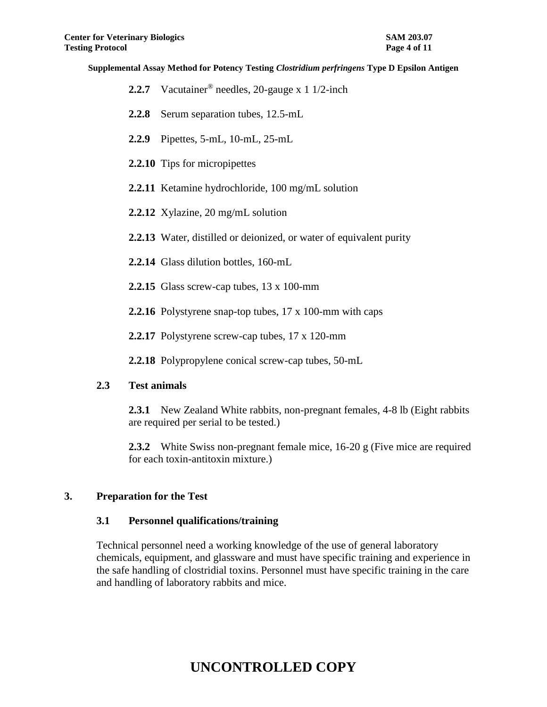- **2.2.7** Vacutainer® needles, 20-gauge x 1 1/2-inch
- **2.2.8** Serum separation tubes, 12.5-mL
- **2.2.9** Pipettes, 5-mL, 10-mL, 25-mL
- **2.2.10** Tips for micropipettes
- **2.2.11** Ketamine hydrochloride, 100 mg/mL solution
- **2.2.12** Xylazine, 20 mg/mL solution
- **2.2.13** Water, distilled or deionized, or water of equivalent purity
- **2.2.14** Glass dilution bottles, 160-mL
- **2.2.15** Glass screw-cap tubes, 13 x 100-mm
- **2.2.16** Polystyrene snap-top tubes, 17 x 100-mm with caps
- **2.2.17** Polystyrene screw-cap tubes, 17 x 120-mm
- **2.2.18** Polypropylene conical screw-cap tubes, 50-mL

#### **2.3 Test animals**

**2.3.1** New Zealand White rabbits, non-pregnant females, 4-8 lb (Eight rabbits are required per serial to be tested.)

**2.3.2** White Swiss non-pregnant female mice, 16-20 g (Five mice are required for each toxin-antitoxin mixture.)

#### **3. Preparation for the Test**

#### **3.1 Personnel qualifications/training**

Technical personnel need a working knowledge of the use of general laboratory chemicals, equipment, and glassware and must have specific training and experience in the safe handling of clostridial toxins. Personnel must have specific training in the care and handling of laboratory rabbits and mice.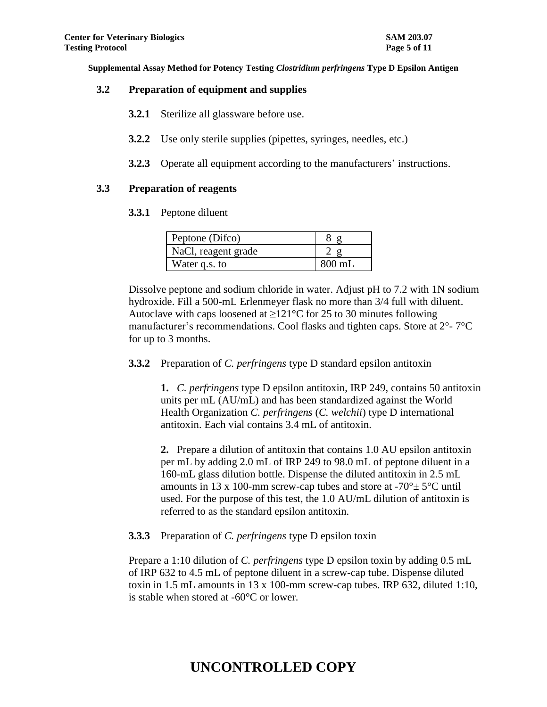#### **3.2 Preparation of equipment and supplies**

- **3.2.1** Sterilize all glassware before use.
- **3.2.2** Use only sterile supplies (pipettes, syringes, needles, etc.)
- **3.2.3** Operate all equipment according to the manufacturers' instructions.

### **3.3 Preparation of reagents**

**3.3.1** Peptone diluent

| Peptone (Difco)     |          |
|---------------------|----------|
| NaCl, reagent grade |          |
| Water q.s. to       | $800$ mL |

Dissolve peptone and sodium chloride in water. Adjust pH to 7.2 with 1N sodium hydroxide. Fill a 500-mL Erlenmeyer flask no more than 3/4 full with diluent. Autoclave with caps loosened at  $\geq 121^{\circ}$ C for 25 to 30 minutes following manufacturer's recommendations. Cool flasks and tighten caps. Store at 2°- 7°C for up to 3 months.

### **3.3.2** Preparation of *C. perfringens* type D standard epsilon antitoxin

**1.** *C. perfringens* type D epsilon antitoxin, IRP 249, contains 50 antitoxin units per mL (AU/mL) and has been standardized against the World Health Organization *C. perfringens* (*C. welchii*) type D international antitoxin. Each vial contains 3.4 mL of antitoxin.

**2.** Prepare a dilution of antitoxin that contains 1.0 AU epsilon antitoxin per mL by adding 2.0 mL of IRP 249 to 98.0 mL of peptone diluent in a 160-mL glass dilution bottle. Dispense the diluted antitoxin in 2.5 mL amounts in 13 x 100-mm screw-cap tubes and store at  $-70^{\circ} \pm 5^{\circ}$ C until used. For the purpose of this test, the 1.0 AU/mL dilution of antitoxin is referred to as the standard epsilon antitoxin.

### **3.3.3** Preparation of *C. perfringens* type D epsilon toxin

Prepare a 1:10 dilution of *C. perfringens* type D epsilon toxin by adding 0.5 mL of IRP 632 to 4.5 mL of peptone diluent in a screw-cap tube. Dispense diluted toxin in 1.5 mL amounts in 13 x 100-mm screw-cap tubes. IRP 632, diluted 1:10, is stable when stored at -60°C or lower.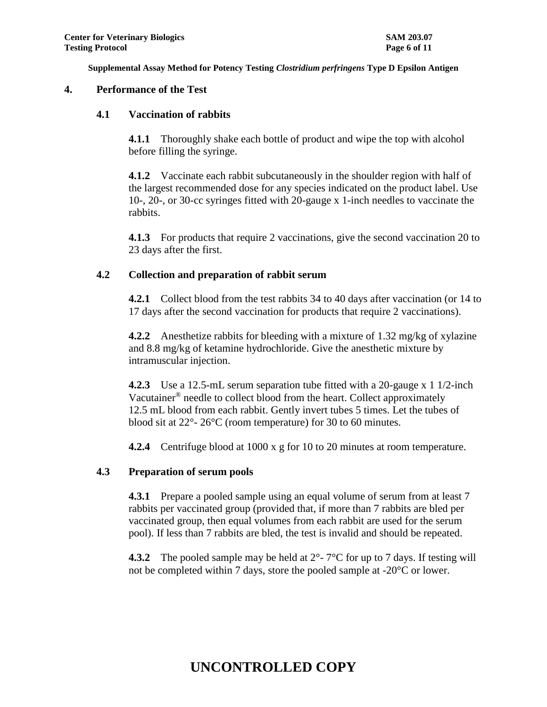#### **4. Performance of the Test**

#### **4.1 Vaccination of rabbits**

**4.1.1** Thoroughly shake each bottle of product and wipe the top with alcohol before filling the syringe.

**4.1.2** Vaccinate each rabbit subcutaneously in the shoulder region with half of the largest recommended dose for any species indicated on the product label. Use 10-, 20-, or 30-cc syringes fitted with 20-gauge x 1-inch needles to vaccinate the rabbits.

**4.1.3** For products that require 2 vaccinations, give the second vaccination 20 to 23 days after the first.

### **4.2 Collection and preparation of rabbit serum**

**4.2.1** Collect blood from the test rabbits 34 to 40 days after vaccination (or 14 to 17 days after the second vaccination for products that require 2 vaccinations).

**4.2.2** Anesthetize rabbits for bleeding with a mixture of 1.32 mg/kg of xylazine and 8.8 mg/kg of ketamine hydrochloride. Give the anesthetic mixture by intramuscular injection.

**4.2.3** Use a 12.5-mL serum separation tube fitted with a 20-gauge x 1 1/2-inch Vacutainer® needle to collect blood from the heart. Collect approximately 12.5 mL blood from each rabbit. Gently invert tubes 5 times. Let the tubes of blood sit at 22°- 26°C (room temperature) for 30 to 60 minutes.

**4.2.4** Centrifuge blood at 1000 x g for 10 to 20 minutes at room temperature.

### **4.3 Preparation of serum pools**

**4.3.1** Prepare a pooled sample using an equal volume of serum from at least 7 rabbits per vaccinated group (provided that, if more than 7 rabbits are bled per vaccinated group, then equal volumes from each rabbit are used for the serum pool). If less than 7 rabbits are bled, the test is invalid and should be repeated.

**4.3.2** The pooled sample may be held at  $2^{\circ}$ - 7<sup>o</sup>C for up to 7 days. If testing will not be completed within 7 days, store the pooled sample at -20°C or lower.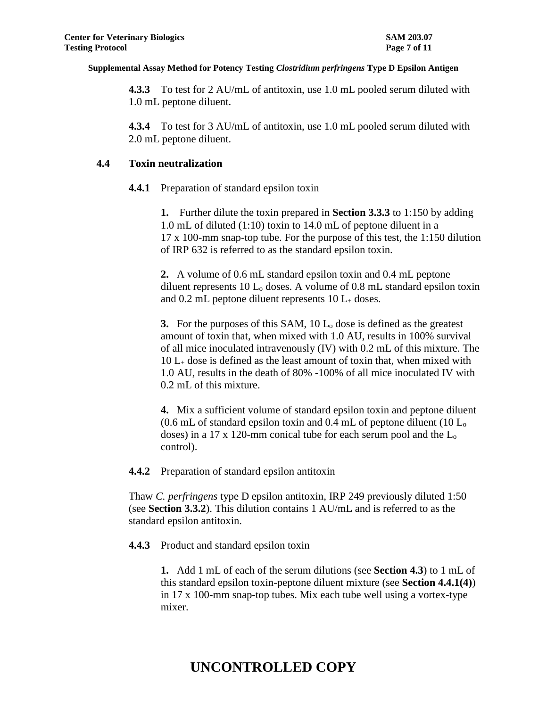**4.3.3** To test for 2 AU/mL of antitoxin, use 1.0 mL pooled serum diluted with 1.0 mL peptone diluent.

**4.3.4** To test for 3 AU/mL of antitoxin, use 1.0 mL pooled serum diluted with 2.0 mL peptone diluent.

#### **4.4 Toxin neutralization**

**4.4.1** Preparation of standard epsilon toxin

**1.** Further dilute the toxin prepared in **Section 3.3.3** to 1:150 by adding 1.0 mL of diluted (1:10) toxin to 14.0 mL of peptone diluent in a 17 x 100-mm snap-top tube. For the purpose of this test, the 1:150 dilution of IRP 632 is referred to as the standard epsilon toxin.

**2.** A volume of 0.6 mL standard epsilon toxin and 0.4 mL peptone diluent represents  $10 L<sub>o</sub>$  doses. A volume of 0.8 mL standard epsilon toxin and  $0.2$  mL peptone diluent represents  $10$  L<sub>+</sub> doses.

**3.** For the purposes of this SAM, 10 L<sup>o</sup> dose is defined as the greatest amount of toxin that, when mixed with 1.0 AU, results in 100% survival of all mice inoculated intravenously (IV) with 0.2 mL of this mixture. The  $10 L_{\pm}$  dose is defined as the least amount of toxin that, when mixed with 1.0 AU, results in the death of 80% -100% of all mice inoculated IV with 0.2 mL of this mixture.

**4.** Mix a sufficient volume of standard epsilon toxin and peptone diluent  $(0.6 \text{ mL of standard epsilon})$  toxin and 0.4 mL of peptone diluent (10 L<sub>o</sub> doses) in a 17 x 120-mm conical tube for each serum pool and the L<sup>o</sup> control).

**4.4.2** Preparation of standard epsilon antitoxin

Thaw *C. perfringens* type D epsilon antitoxin, IRP 249 previously diluted 1:50 (see **Section 3.3.2**). This dilution contains 1 AU/mL and is referred to as the standard epsilon antitoxin.

**4.4.3** Product and standard epsilon toxin

**1.** Add 1 mL of each of the serum dilutions (see **Section 4.3**) to 1 mL of this standard epsilon toxin-peptone diluent mixture (see **Section 4.4.1(4)**) in 17 x 100-mm snap-top tubes. Mix each tube well using a vortex-type mixer.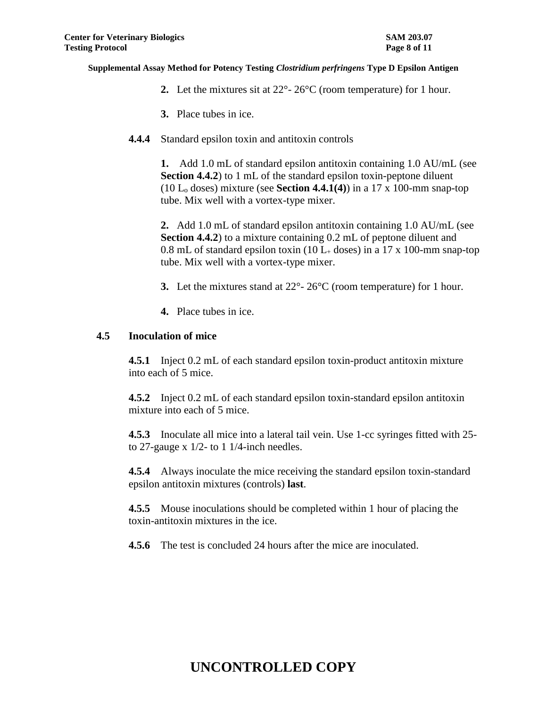- **2.** Let the mixtures sit at 22°- 26°C (room temperature) for 1 hour.
- **3.** Place tubes in ice.
- **4.4.4** Standard epsilon toxin and antitoxin controls

**1.** Add 1.0 mL of standard epsilon antitoxin containing 1.0 AU/mL (see **Section 4.4.2**) to 1 mL of the standard epsilon toxin-peptone diluent (10 L<sup>o</sup> doses) mixture (see **Section 4.4.1(4)**) in a 17 x 100-mm snap-top tube. Mix well with a vortex-type mixer.

**2.** Add 1.0 mL of standard epsilon antitoxin containing 1.0 AU/mL (see **Section 4.4.2**) to a mixture containing 0.2 mL of peptone diluent and 0.8 mL of standard epsilon toxin (10  $L_{+}$  doses) in a 17 x 100-mm snap-top tube. Mix well with a vortex-type mixer.

- **3.** Let the mixtures stand at 22°- 26°C (room temperature) for 1 hour.
- **4.** Place tubes in ice.

#### **4.5 Inoculation of mice**

**4.5.1** Inject 0.2 mL of each standard epsilon toxin-product antitoxin mixture into each of 5 mice.

**4.5.2** Inject 0.2 mL of each standard epsilon toxin-standard epsilon antitoxin mixture into each of 5 mice.

**4.5.3** Inoculate all mice into a lateral tail vein. Use 1-cc syringes fitted with 25 to 27-gauge x  $1/2$ - to 1 1/4-inch needles.

**4.5.4** Always inoculate the mice receiving the standard epsilon toxin-standard epsilon antitoxin mixtures (controls) **last**.

**4.5.5** Mouse inoculations should be completed within 1 hour of placing the toxin-antitoxin mixtures in the ice.

**4.5.6** The test is concluded 24 hours after the mice are inoculated.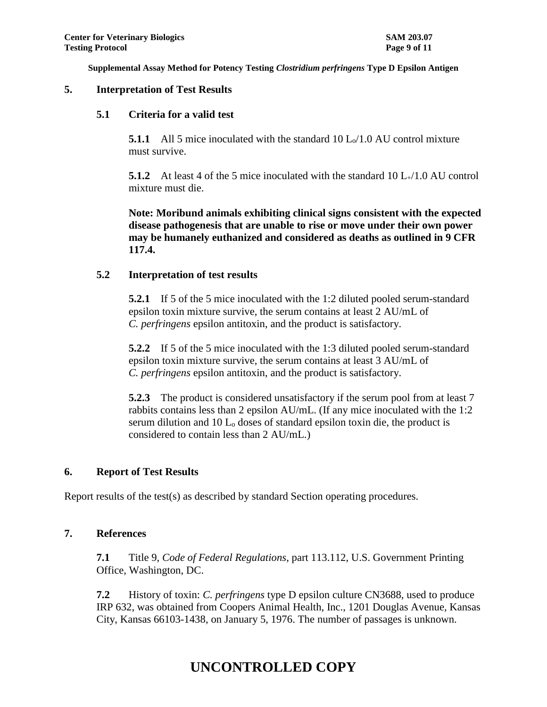#### **5. Interpretation of Test Results**

#### **5.1 Criteria for a valid test**

**5.1.1** All 5 mice inoculated with the standard  $10 L_0/1.0$  AU control mixture must survive.

**5.1.2** At least 4 of the 5 mice inoculated with the standard 10 L+/1.0 AU control mixture must die.

**Note: Moribund animals exhibiting clinical signs consistent with the expected disease pathogenesis that are unable to rise or move under their own power may be humanely euthanized and considered as deaths as outlined in 9 CFR 117.4.**

### **5.2 Interpretation of test results**

**5.2.1** If 5 of the 5 mice inoculated with the 1:2 diluted pooled serum-standard epsilon toxin mixture survive, the serum contains at least 2 AU/mL of *C. perfringens* epsilon antitoxin, and the product is satisfactory.

**5.2.2** If 5 of the 5 mice inoculated with the 1:3 diluted pooled serum-standard epsilon toxin mixture survive, the serum contains at least 3 AU/mL of *C. perfringens* epsilon antitoxin, and the product is satisfactory.

**5.2.3** The product is considered unsatisfactory if the serum pool from at least 7 rabbits contains less than 2 epsilon AU/mL. (If any mice inoculated with the 1:2 serum dilution and 10 L<sup>o</sup> doses of standard epsilon toxin die, the product is considered to contain less than 2 AU/mL.)

### **6. Report of Test Results**

Report results of the test(s) as described by standard Section operating procedures.

### **7. References**

**7.1** Title 9, *Code of Federal Regulations*, part 113.112, U.S. Government Printing Office, Washington, DC.

**7.2** History of toxin: *C. perfringens* type D epsilon culture CN3688, used to produce IRP 632, was obtained from Coopers Animal Health, Inc., 1201 Douglas Avenue, Kansas City, Kansas 66103-1438, on January 5, 1976. The number of passages is unknown.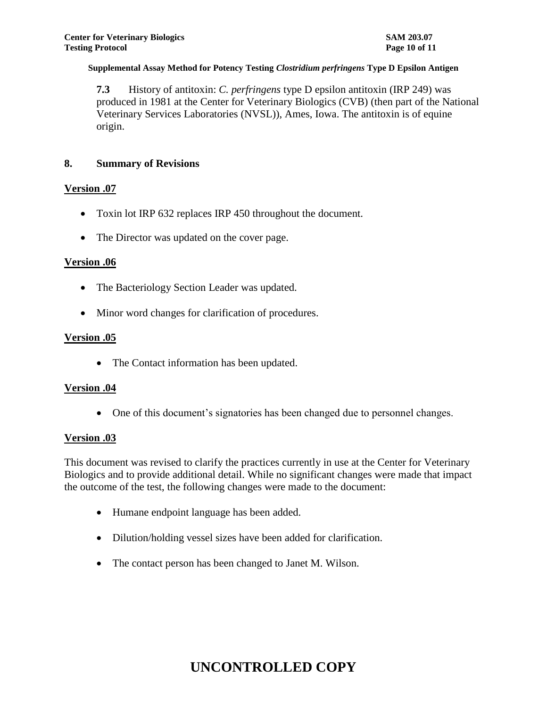**7.3** History of antitoxin: *C. perfringens* type D epsilon antitoxin (IRP 249) was produced in 1981 at the Center for Veterinary Biologics (CVB) (then part of the National Veterinary Services Laboratories (NVSL)), Ames, Iowa. The antitoxin is of equine origin.

### **8. Summary of Revisions**

### **Version .07**

- Toxin lot IRP 632 replaces IRP 450 throughout the document.
- The Director was updated on the cover page.

### **Version .06**

- The Bacteriology Section Leader was updated.
- Minor word changes for clarification of procedures.

#### **Version .05**

• The Contact information has been updated.

### **Version .04**

One of this document's signatories has been changed due to personnel changes.

### **Version .03**

This document was revised to clarify the practices currently in use at the Center for Veterinary Biologics and to provide additional detail. While no significant changes were made that impact the outcome of the test, the following changes were made to the document:

- Humane endpoint language has been added.
- Dilution/holding vessel sizes have been added for clarification.
- The contact person has been changed to Janet M. Wilson.